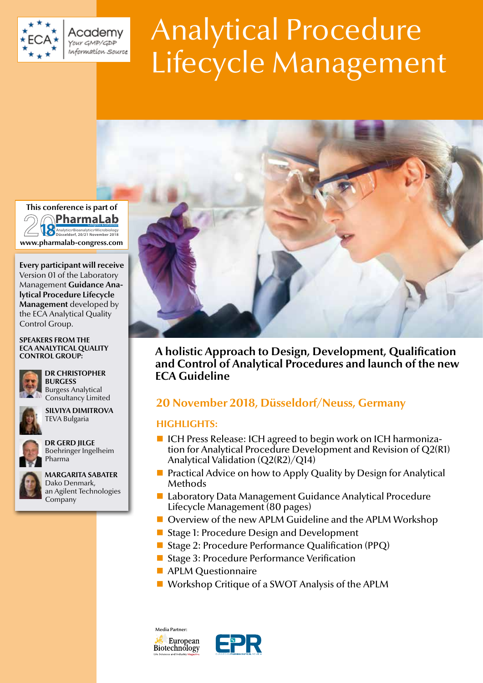

Academy Your GMP/GDP .<br>Information Source

# Analytical Procedure Lifecycle Management



**A holistic Approach to Design, Development, Qualification and Control of Analytical Procedures and launch of the new ECA Guideline**

# **ch 20 November 2018, Düsseldorf/Neuss, Germany**

### **HIGHLIGHTS:**

- ICH Press Release: ICH agreed to begin work on ICH harmonization for Analytical Procedure Development and Revision of Q2(R1) Analytical Validation (Q2(R2)/Q14)
- **Practical Advice on how to Apply Quality by Design for Analytical** Methods
- Laboratory Data Management Guidance Analytical Procedure Lifecycle Management (80 pages)
- Overview of the new APLM Guideline and the APLM Workshop
- Stage 1: Procedure Design and Development
- Stage 2: Procedure Performance Qualification (PPQ)
- Stage 3: Procedure Performance Verification
- **APLM Questionnaire**
- Workshop Critique of a SWOT Analysis of the APLM

Media Partner:





**www.pharmalab-congress.com Congress & Exhibition**<br>Düsseldorf, 20/21 November 2018 **PharmaLab**

**Every participant will receive** Version 01 of the Laboratory Management **Guidance Analytical Procedure Lifecycle Management** developed by the ECA Analytical Quality Control Group.

### **SPEAKERS FROM THE ECA ANALYTICAL QUALITY CONTROL GROUP:**



## **DR CHRISTOPHER**

 **BURGESS**  Burgess Analytical Consultancy Limited

 **SILVIYA DIMITROVA** TEVA Bulgaria



 **DR GERD JILGE**  Boehringer Ingelheim Pharma



 **MARGARITA SABATER**  Dako Denmark, an Agilent Technologies Company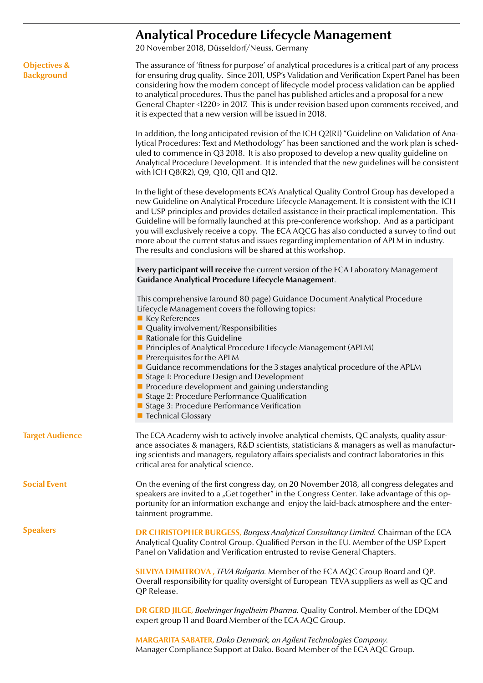# **Analytical Procedure Lifecycle Management**

20 November 2018, Düsseldorf/Neuss, Germany

| <b>Objectives &amp;</b><br><b>Background</b> | The assurance of 'fitness for purpose' of analytical procedures is a critical part of any process<br>for ensuring drug quality. Since 2011, USP's Validation and Verification Expert Panel has been<br>considering how the modern concept of lifecycle model process validation can be applied<br>to analytical procedures. Thus the panel has published articles and a proposal for a new<br>General Chapter <1220> in 2017. This is under revision based upon comments received, and<br>it is expected that a new version will be issued in 2018.                                                                                                              |  |
|----------------------------------------------|------------------------------------------------------------------------------------------------------------------------------------------------------------------------------------------------------------------------------------------------------------------------------------------------------------------------------------------------------------------------------------------------------------------------------------------------------------------------------------------------------------------------------------------------------------------------------------------------------------------------------------------------------------------|--|
|                                              | In addition, the long anticipated revision of the ICH Q2(R1) "Guideline on Validation of Ana-<br>lytical Procedures: Text and Methodology" has been sanctioned and the work plan is sched-<br>uled to commence in Q3 2018. It is also proposed to develop a new quality guideline on<br>Analytical Procedure Development. It is intended that the new guidelines will be consistent<br>with ICH Q8(R2), Q9, Q10, Q11 and Q12.                                                                                                                                                                                                                                    |  |
|                                              | In the light of these developments ECA's Analytical Quality Control Group has developed a<br>new Guideline on Analytical Procedure Lifecycle Management. It is consistent with the ICH<br>and USP principles and provides detailed assistance in their practical implementation. This<br>Guideline will be formally launched at this pre-conference workshop. And as a participant<br>you will exclusively receive a copy. The ECA AQCG has also conducted a survey to find out<br>more about the current status and issues regarding implementation of APLM in industry.<br>The results and conclusions will be shared at this workshop.                        |  |
|                                              | Every participant will receive the current version of the ECA Laboratory Management<br>Guidance Analytical Procedure Lifecycle Management.                                                                                                                                                                                                                                                                                                                                                                                                                                                                                                                       |  |
|                                              | This comprehensive (around 80 page) Guidance Document Analytical Procedure<br>Lifecycle Management covers the following topics:<br>■ Key References<br>$\blacksquare$ Quality involvement/Responsibilities<br>Rationale for this Guideline<br>Principles of Analytical Procedure Lifecycle Management (APLM)<br>$\blacksquare$ Prerequisites for the APLM<br>■ Guidance recommendations for the 3 stages analytical procedure of the APLM<br>Stage 1: Procedure Design and Development<br>Procedure development and gaining understanding<br>Stage 2: Procedure Performance Qualification<br>Stage 3: Procedure Performance Verification<br>■ Technical Glossary |  |
| <b>Target Audience</b>                       | The ECA Academy wish to actively involve analytical chemists, QC analysts, quality assur-<br>ance associates & managers, R&D scientists, statisticians & managers as well as manufactur-<br>ing scientists and managers, regulatory affairs specialists and contract laboratories in this<br>critical area for analytical science.                                                                                                                                                                                                                                                                                                                               |  |
| <b>Social Event</b>                          | On the evening of the first congress day, on 20 November 2018, all congress delegates and<br>speakers are invited to a "Get together" in the Congress Center. Take advantage of this op-<br>portunity for an information exchange and enjoy the laid-back atmosphere and the enter-<br>tainment programme.                                                                                                                                                                                                                                                                                                                                                       |  |
| <b>Speakers</b>                              | DR CHRISTOPHER BURGESS, Burgess Analytical Consultancy Limited. Chairman of the ECA<br>Analytical Quality Control Group. Qualified Person in the EU. Member of the USP Expert<br>Panel on Validation and Verification entrusted to revise General Chapters.                                                                                                                                                                                                                                                                                                                                                                                                      |  |
|                                              | SILVIYA DIMITROVA, TEVA Bulgaria. Member of the ECA AQC Group Board and QP.<br>Overall responsibility for quality oversight of European TEVA suppliers as well as QC and<br>QP Release.                                                                                                                                                                                                                                                                                                                                                                                                                                                                          |  |
|                                              | DR GERD JILGE, Boehringer Ingelheim Pharma. Quality Control. Member of the EDQM<br>expert group 11 and Board Member of the ECA AQC Group.                                                                                                                                                                                                                                                                                                                                                                                                                                                                                                                        |  |
|                                              | <b>MARGARITA SABATER, Dako Denmark, an Agilent Technologies Company.</b><br>Manager Compliance Support at Dako. Board Member of the ECA AQC Group.                                                                                                                                                                                                                                                                                                                                                                                                                                                                                                               |  |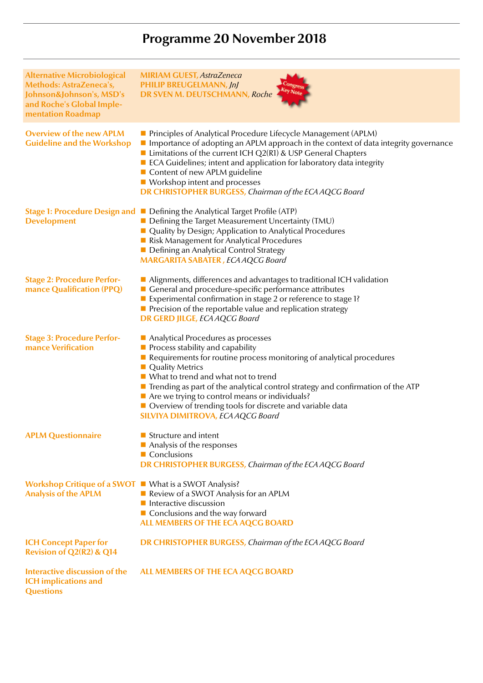# **Programme 20 November 2018**

| <b>Alternative Microbiological</b><br>Methods: AstraZeneca's,<br>Johnson&Johnson's, MSD's<br>and Roche's Global Imple-<br>mentation Roadmap | <b>MIRIAM GUEST, AstraZeneca</b><br><b>PHILIP BREUGELMANN, JnJ</b><br>DR SVEN M. DEUTSCHMANN, Roche                                                                                                                                                                                                                                                                                                                                                                                                                       |
|---------------------------------------------------------------------------------------------------------------------------------------------|---------------------------------------------------------------------------------------------------------------------------------------------------------------------------------------------------------------------------------------------------------------------------------------------------------------------------------------------------------------------------------------------------------------------------------------------------------------------------------------------------------------------------|
| <b>Overview of the new APLM</b><br><b>Guideline and the Workshop</b>                                                                        | Principles of Analytical Procedure Lifecycle Management (APLM)<br>Importance of adopting an APLM approach in the context of data integrity governance<br>■ Limitations of the current ICH $Q2(RI)$ & USP General Chapters<br>ECA Guidelines; intent and application for laboratory data integrity<br>Content of new APLM guideline<br>■ Workshop intent and processes<br><b>DR CHRISTOPHER BURGESS, Chairman of the ECA AQCG Board</b>                                                                                    |
| <b>Development</b>                                                                                                                          | Stage 1: Procedure Design and Defining the Analytical Target Profile (ATP)<br>Defining the Target Measurement Uncertainty (TMU)<br>Quality by Design; Application to Analytical Procedures<br>Risk Management for Analytical Procedures<br>Defining an Analytical Control Strategy<br><b>MARGARITA SABATER</b> , ECA AQCG Board                                                                                                                                                                                           |
| <b>Stage 2: Procedure Perfor-</b><br>mance Qualification (PPQ)                                                                              | Alignments, differences and advantages to traditional ICH validation<br>General and procedure-specific performance attributes<br>Experimental confirmation in stage 2 or reference to stage 1?<br>$\blacksquare$ Precision of the reportable value and replication strategy<br><b>DR GERD JILGE, ECA AQCG Board</b>                                                                                                                                                                                                       |
| <b>Stage 3: Procedure Perfor-</b><br>mance Verification                                                                                     | Analytical Procedures as processes<br>$\blacksquare$ Process stability and capability<br>Requirements for routine process monitoring of analytical procedures<br><b>Quality Metrics</b><br>$\blacksquare$ What to trend and what not to trend<br>$\blacksquare$ Trending as part of the analytical control strategy and confirmation of the ATP<br>$\blacksquare$ Are we trying to control means or individuals?<br>Overview of trending tools for discrete and variable data<br><b>SILVIYA DIMITROVA, ECA AQCG Board</b> |
| <b>APLM Questionnaire</b>                                                                                                                   | Structure and intent<br>Analysis of the responses<br>Conclusions<br><b>DR CHRISTOPHER BURGESS, Chairman of the ECA AQCG Board</b>                                                                                                                                                                                                                                                                                                                                                                                         |
| Workshop Critique of a SWOT What is a SWOT Analysis?<br><b>Analysis of the APLM</b>                                                         | Review of a SWOT Analysis for an APLM<br>Interactive discussion<br>$\blacksquare$ Conclusions and the way forward<br>ALL MEMBERS OF THE ECA AQCG BOARD                                                                                                                                                                                                                                                                                                                                                                    |
| <b>ICH Concept Paper for</b><br>Revision of Q2(R2) & Q14                                                                                    | <b>DR CHRISTOPHER BURGESS, Chairman of the ECA AQCG Board</b>                                                                                                                                                                                                                                                                                                                                                                                                                                                             |
| <b>Interactive discussion of the</b><br><b>ICH</b> implications and<br><b>Questions</b>                                                     | ALL MEMBERS OF THE ECA AQCG BOARD                                                                                                                                                                                                                                                                                                                                                                                                                                                                                         |